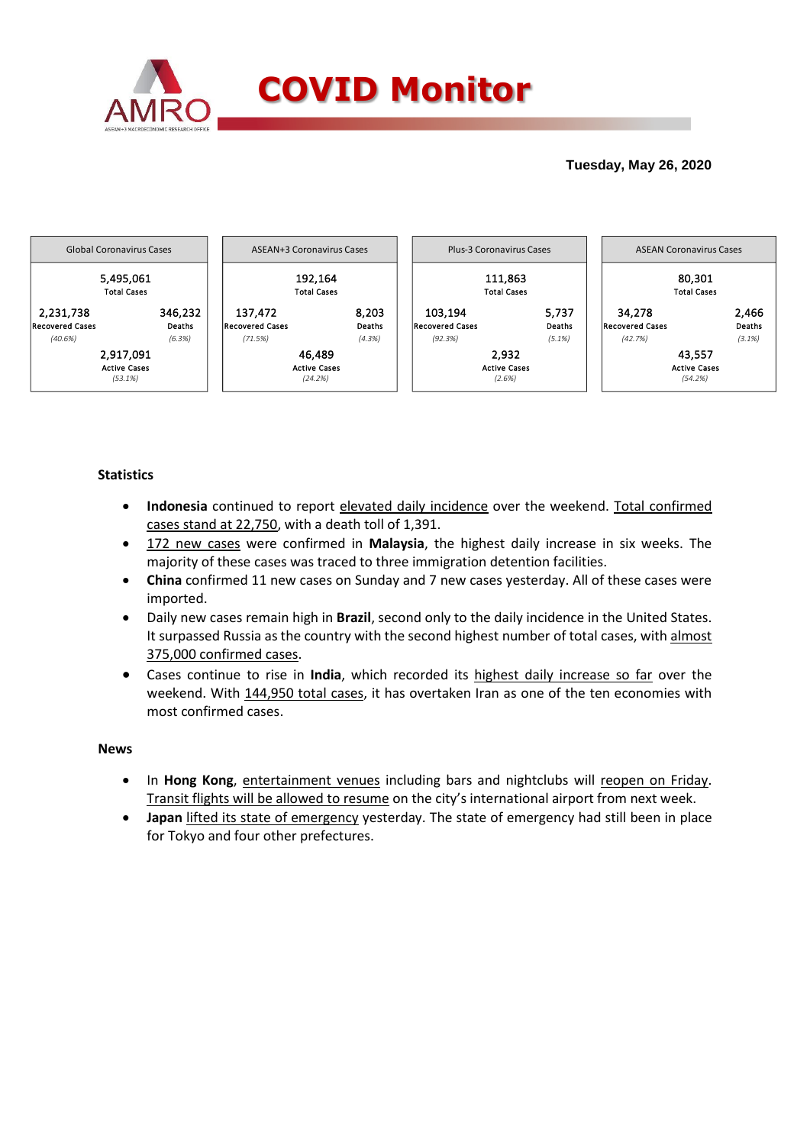

## **Tuesday, May 26, 2020**



## **Statistics**

- **Indonesia** continued to report elevated daily incidence over the weekend. Total confirmed cases stand at 22,750, with a death toll of 1,391.
- 172 new cases were confirmed in **Malaysia**, the highest daily increase in six weeks. The majority of these cases was traced to three immigration detention facilities.
- **China** confirmed 11 new cases on Sunday and 7 new cases yesterday. All of these cases were imported.
- Daily new cases remain high in **Brazil**, second only to the daily incidence in the United States. It surpassed Russia as the country with the second highest number of total cases, with almost 375,000 confirmed cases.
- Cases continue to rise in **India**, which recorded its highest daily increase so far over the weekend. With 144,950 total cases, it has overtaken Iran as one of the ten economies with most confirmed cases.

### **News**

- In Hong Kong, entertainment venues including bars and nightclubs will reopen on Friday. Transit flights will be allowed to resume on the city's international airport from next week.
- **Japan** lifted its state of emergency yesterday. The state of emergency had still been in place for Tokyo and four other prefectures.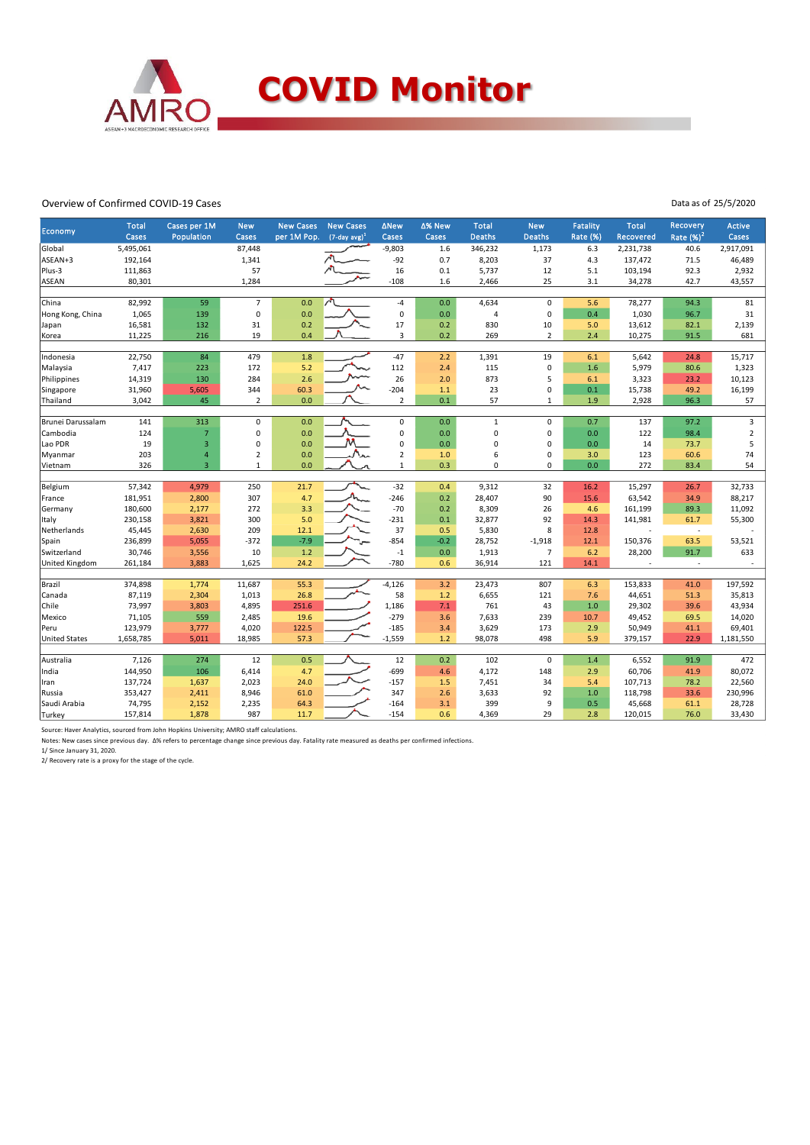

#### Overview of Confirmed COVID-19 Cases

Data as of 25/5/2020

| Economy              | <b>Total</b><br>Cases | Cases per 1M<br>Population | <b>New</b><br>Cases | <b>New Cases</b><br>per 1M Pop. | <b>New Cases</b><br>$(7$ -day avg) <sup>1</sup> | <b>ANew</b><br>Cases | ∆% New<br>Cases | <b>Total</b><br><b>Deaths</b> | <b>New</b><br>Deaths | Fatality<br><b>Rate (%)</b> | <b>Total</b><br>Recovered | <b>Recovery</b><br>Rate $(\frac{96}{2})^2$ | <b>Active</b><br>Cases |
|----------------------|-----------------------|----------------------------|---------------------|---------------------------------|-------------------------------------------------|----------------------|-----------------|-------------------------------|----------------------|-----------------------------|---------------------------|--------------------------------------------|------------------------|
| Global               | 5,495,061             |                            | 87,448              |                                 |                                                 | $-9,803$             | 1.6             | 346,232                       | 1,173                | 6.3                         | 2,231,738                 | 40.6                                       | 2,917,091              |
| ASEAN+3              | 192,164               |                            | 1,341               |                                 |                                                 | $-92$                | 0.7             | 8,203                         | 37                   | 4.3                         | 137,472                   | 71.5                                       | 46,489                 |
| Plus-3               | 111,863               |                            | 57                  |                                 |                                                 | 16                   | 0.1             | 5,737                         | 12                   | 5.1                         | 103,194                   | 92.3                                       | 2,932                  |
| <b>ASEAN</b>         | 80,301                |                            | 1,284               |                                 |                                                 | $-108$               | 1.6             | 2,466                         | 25                   | 3.1                         | 34,278                    | 42.7                                       | 43,557                 |
| China                | 82,992                | 59                         | $\overline{7}$      | 0.0                             |                                                 | $-4$                 | 0.0             |                               | $\mathbf 0$          | 5.6                         |                           | 94.3                                       | 81                     |
| Hong Kong, China     | 1,065                 | 139                        | $\pmb{0}$           | 0.0                             |                                                 | $\pmb{0}$            | 0.0             | 4,634<br>4                    | $\mathbf 0$          | 0.4                         | 78,277<br>1,030           | 96.7                                       | 31                     |
|                      |                       |                            |                     |                                 |                                                 |                      |                 | 830                           |                      |                             |                           |                                            |                        |
| Japan                | 16,581                | 132                        | 31                  | 0.2                             |                                                 | 17                   | 0.2             |                               | 10                   | 5.0                         | 13,612                    | 82.1                                       | 2,139                  |
| Korea                | 11,225                | 216                        | 19                  | 0.4                             |                                                 | 3                    | 0.2             | 269                           | $\overline{2}$       | 2.4                         | 10,275                    | 91.5                                       | 681                    |
| Indonesia            | 22,750                | 84                         | 479                 | 1.8                             |                                                 | $-47$                | 2.2             | 1,391                         | 19                   | 6.1                         | 5,642                     | 24.8                                       | 15,717                 |
| Malaysia             | 7,417                 | 223                        | 172                 | 5.2                             |                                                 | 112                  | 2.4             | 115                           | $\pmb{0}$            | 1.6                         | 5,979                     | 80.6                                       | 1,323                  |
| Philippines          | 14,319                | 130                        | 284                 | 2.6                             |                                                 | 26                   | 2.0             | 873                           | 5                    | 6.1                         | 3,323                     | 23.2                                       | 10,123                 |
| Singapore            | 31,960                | 5,605                      | 344                 | 60.3                            |                                                 | $-204$               | 1.1             | 23                            | 0                    | 0.1                         | 15,738                    | 49.2                                       | 16,199                 |
| Thailand             | 3,042                 | 45                         | $\overline{2}$      | 0.0                             |                                                 | $\overline{2}$       | 0.1             | 57                            | $\mathbf 1$          | 1.9                         | 2,928                     | 96.3                                       | 57                     |
|                      |                       |                            |                     |                                 |                                                 |                      |                 |                               |                      |                             |                           |                                            |                        |
| Brunei Darussalam    | 141                   | 313                        | $\mathbf 0$         | 0.0                             |                                                 | $\mathbf 0$          | 0.0             | $\mathbf 1$                   | $\mathbf 0$          | 0.7                         | 137                       | 97.2                                       | 3                      |
| Cambodia             | 124                   | $\overline{7}$             | $\mathbf 0$         | 0.0                             |                                                 | $\mathbf 0$          | 0.0             | 0                             | 0                    | 0.0                         | 122                       | 98.4                                       | $\overline{2}$         |
| Lao PDR              | 19                    | 3                          | $\mathbf 0$         | 0.0                             |                                                 | $\pmb{0}$            | 0.0             | 0                             | 0                    | 0.0                         | 14                        | 73.7                                       | 5                      |
| Myanmar              | 203                   | $\overline{\mathbf{4}}$    | $\overline{2}$      | 0.0                             |                                                 | $\overline{2}$       | 1.0             | 6                             | 0                    | 3.0                         | 123                       | 60.6                                       | 74                     |
| Vietnam              | 326                   | $\overline{3}$             | $\mathbf{1}$        | 0.0                             |                                                 | $\mathbf{1}$         | 0.3             | 0                             | 0                    | 0.0                         | 272                       | 83.4                                       | 54                     |
|                      |                       |                            |                     |                                 |                                                 |                      |                 |                               |                      |                             |                           |                                            |                        |
| Belgium              | 57,342                | 4,979                      | 250                 | 21.7                            |                                                 | $-32$                | 0.4             | 9,312                         | 32                   | 16.2                        | 15,297                    | 26.7                                       | 32,733                 |
| France               | 181,951               | 2,800                      | 307                 | 4.7                             |                                                 | $-246$               | 0.2             | 28,407                        | 90                   | 15.6                        | 63,542                    | 34.9                                       | 88,217                 |
| Germany              | 180,600               | 2,177                      | 272                 | 3.3                             |                                                 | $-70$                | 0.2             | 8,309                         | 26                   | 4.6                         | 161,199                   | 89.3                                       | 11,092                 |
| Italy                | 230,158               | 3,821                      | 300                 | 5.0                             |                                                 | $-231$               | 0.1             | 32,877                        | 92                   | 14.3                        | 141,981                   | 61.7                                       | 55,300                 |
| Netherlands          | 45,445                | 2,630                      | 209                 | 12.1                            |                                                 | 37                   | 0.5             | 5,830                         | 8                    | 12.8                        |                           | $\overline{\phantom{a}}$                   |                        |
| Spain                | 236,899               | 5,055                      | $-372$              | $-7.9$                          |                                                 | $-854$               | $-0.2$          | 28,752                        | $-1,918$             | 12.1                        | 150,376                   | 63.5                                       | 53,521                 |
| Switzerland          | 30,746                | 3,556                      | 10                  | 1.2                             |                                                 | $-1$                 | 0.0             | 1,913                         | $\overline{7}$       | 6.2                         | 28,200                    | 91.7                                       | 633                    |
| United Kingdom       | 261,184               | 3,883                      | 1,625               | 24.2                            |                                                 | $-780$               | 0.6             | 36,914                        | 121                  | 14.1                        |                           | $\overline{\phantom{a}}$                   |                        |
|                      | 374,898               |                            | 11,687              |                                 |                                                 | $-4,126$             |                 | 23,473                        |                      |                             |                           |                                            | 197,592                |
| Brazil               |                       | 1,774                      |                     | 55.3                            |                                                 |                      | 3.2             |                               | 807                  | 6.3                         | 153,833                   | 41.0                                       |                        |
| Canada               | 87,119<br>73,997      | 2,304                      | 1,013<br>4,895      | 26.8                            |                                                 | 58<br>1,186          | 1.2             | 6,655<br>761                  | 121                  | 7.6                         | 44,651                    | 51.3<br>39.6                               | 35,813<br>43,934       |
| Chile                |                       | 3,803<br>559               |                     | 251.6<br>19.6                   |                                                 | $-279$               | 7.1             | 7,633                         | 43                   | 1.0                         | 29,302                    |                                            | 14,020                 |
| Mexico<br>Peru       | 71,105<br>123,979     |                            | 2,485               |                                 |                                                 | $-185$               | 3.6             |                               | 239                  | 10.7                        | 49,452                    | 69.5<br>41.1                               |                        |
|                      |                       | 3,777                      | 4,020               | 122.5                           |                                                 |                      | 3.4             | 3,629                         | 173                  | 2.9                         | 50,949                    |                                            | 69,401                 |
| <b>United States</b> | 1,658,785             | 5,011                      | 18,985              | 57.3                            |                                                 | $-1,559$             | 1.2             | 98,078                        | 498                  | 5.9                         | 379,157                   | 22.9                                       | 1,181,550              |
| Australia            | 7,126                 | 274                        | 12                  | 0.5                             |                                                 | 12                   | 0.2             | 102                           | $\mathbf 0$          | 1.4                         | 6,552                     | 91.9                                       | 472                    |
| India                | 144,950               | 106                        | 6,414               | 4.7                             |                                                 | $-699$               | 4.6             | 4,172                         | 148                  | 2.9                         | 60,706                    | 41.9                                       | 80,072                 |
| Iran                 | 137,724               | 1,637                      | 2,023               | 24.0                            |                                                 | $-157$               | 1.5             | 7,451                         | 34                   | 5.4                         | 107,713                   | 78.2                                       | 22,560                 |
| Russia               | 353,427               | 2,411                      | 8,946               | 61.0                            |                                                 | 347                  | 2.6             | 3,633                         | 92                   | 1.0                         | 118,798                   | 33.6                                       | 230,996                |
| Saudi Arabia         | 74,795                | 2,152                      | 2,235               | 64.3                            |                                                 | $-164$               | 3.1             | 399                           | 9                    | 0.5                         | 45,668                    | 61.1                                       | 28,728                 |
| Turkey               | 157,814               | 1,878                      | 987                 | 11.7                            |                                                 | $-154$               | 0.6             | 4,369                         | 29                   | 2.8                         | 120,015                   | 76.0                                       | 33,430                 |
|                      |                       |                            |                     |                                 |                                                 |                      |                 |                               |                      |                             |                           |                                            |                        |

Source: Haver Analytics, sourced from John Hopkins University; AMRO staff calculations.

Notes: New cases since previous day. Δ% refers to percentage change since previous day. Fatality rate measured as deaths per confirmed infections.

1/ Since January 31, 2020. 2/ Recovery rate is a proxy for the stage of the cycle.